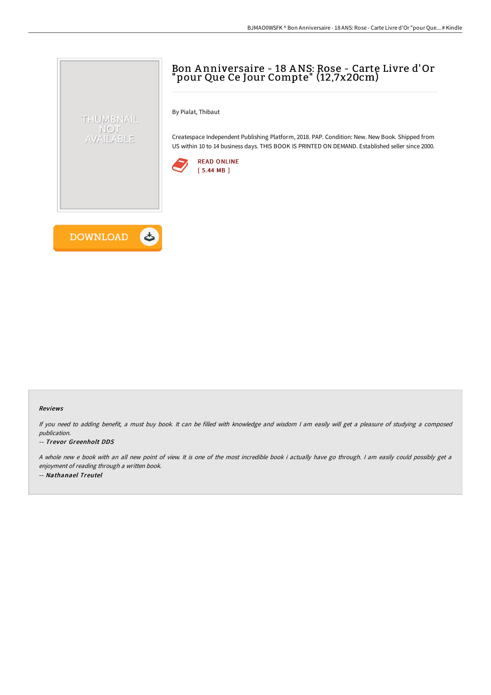# Bon A nniversaire - 18 ANS: Rose - Carte Livre d'Or "pour Que Ce Jour Compte" (12,7x20cm)

By Pialat, Thibaut

Createspace Independent Publishing Platform, 2018. PAP. Condition: New. New Book. Shipped from US within 10 to 14 business days. THIS BOOK IS PRINTED ON DEMAND. Established seller since 2000.





THUMBNAIL NOT AVAILABLE

### Reviews

If you need to adding benefit, <sup>a</sup> must buy book. It can be filled with knowledge and wisdom <sup>I</sup> am easily will get <sup>a</sup> pleasure of studying <sup>a</sup> composed publication.

### -- Trevor Greenholt DDS

<sup>A</sup> whole new <sup>e</sup> book with an all new point of view. It is one of the most incredible book i actually have go through. <sup>I</sup> am easily could possibly get <sup>a</sup> enjoyment of reading through <sup>a</sup> written book. -- Nathanael Treutel